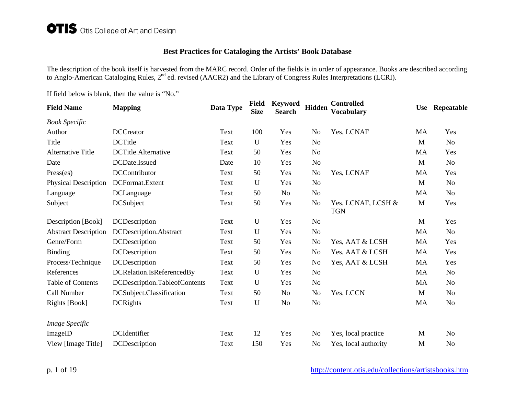## **Best Practices for Cataloging the Artists' Book Database**

The description of the book itself is harvested from the MARC record. Order of the fields is in order of appearance. Books are described according to Anglo-American Cataloging Rules,  $2^{nd}$  ed. revised (AACR2) and the Library of Congress Rules Interpretations (LCRI).

If field below is blank, then the value is "No."

| <b>Field Name</b>           | <b>Mapping</b>                | Data Type | <b>Field</b><br><b>Size</b> | <b>Keyword</b><br><b>Search</b> | Hidden         | <b>Controlled</b><br><b>Vocabulary</b> | <b>Use</b> | Repeatable     |
|-----------------------------|-------------------------------|-----------|-----------------------------|---------------------------------|----------------|----------------------------------------|------------|----------------|
| <b>Book Specific</b>        |                               |           |                             |                                 |                |                                        |            |                |
| Author                      | <b>DCCreator</b>              | Text      | 100                         | Yes                             | N <sub>0</sub> | Yes, LCNAF                             | MA         | Yes            |
| Title                       | <b>DCTitle</b>                | Text      | $\mathbf U$                 | Yes                             | N <sub>o</sub> |                                        | M          | No             |
| <b>Alternative Title</b>    | DCTitle.Alternative           | Text      | 50                          | Yes                             | N <sub>o</sub> |                                        | MA         | Yes            |
| Date                        | DCDate.Issued                 | Date      | 10                          | Yes                             | N <sub>o</sub> |                                        | M          | N <sub>o</sub> |
| Press (es)                  | <b>DCContributor</b>          | Text      | 50                          | Yes                             | N <sub>o</sub> | Yes, LCNAF                             | MA         | Yes            |
| <b>Physical Description</b> | DCFormat.Extent               | Text      | U                           | Yes                             | N <sub>o</sub> |                                        | M          | N <sub>o</sub> |
| Language                    | DCLanguage                    | Text      | 50                          | No                              | N <sub>o</sub> |                                        | MA         | N <sub>o</sub> |
| Subject                     | <b>DCSubject</b>              | Text      | 50                          | Yes                             | N <sub>o</sub> | Yes, LCNAF, LCSH &<br><b>TGN</b>       | M          | Yes            |
| Description [Book]          | <b>DCDescription</b>          | Text      | U                           | Yes                             | N <sub>o</sub> |                                        | M          | Yes            |
| <b>Abstract Description</b> | DCDescription.Abstract        | Text      | U                           | Yes                             | No             |                                        | MA         | No             |
| Genre/Form                  | <b>DCDescription</b>          | Text      | 50                          | Yes                             | N <sub>o</sub> | Yes, AAT & LCSH                        | MA         | Yes            |
| <b>Binding</b>              | DCDescription                 | Text      | 50                          | Yes                             | N <sub>o</sub> | Yes, AAT & LCSH                        | MA         | Yes            |
| Process/Technique           | <b>DCDescription</b>          | Text      | 50                          | Yes                             | N <sub>o</sub> | Yes, AAT & LCSH                        | MA         | Yes            |
| References                  | DCRelation.IsReferencedBy     | Text      | U                           | Yes                             | N <sub>o</sub> |                                        | <b>MA</b>  | No             |
| <b>Table of Contents</b>    | DCDescription.TableofContents | Text      | U                           | Yes                             | N <sub>o</sub> |                                        | MA         | No             |
| Call Number                 | DCSubject.Classification      | Text      | 50                          | No                              | No             | Yes, LCCN                              | M          | N <sub>0</sub> |
| Rights [Book]               | <b>DCRights</b>               | Text      | U                           | N <sub>o</sub>                  | N <sub>0</sub> |                                        | MA         | No             |
| Image Specific              |                               |           |                             |                                 |                |                                        |            |                |
| ImageID                     | DCIdentifier                  | Text      | 12                          | Yes                             | N <sub>o</sub> | Yes, local practice                    | M          | No             |
| View [Image Title]          | DCDescription                 | Text      | 150                         | Yes                             | No             | Yes, local authority                   | M          | No             |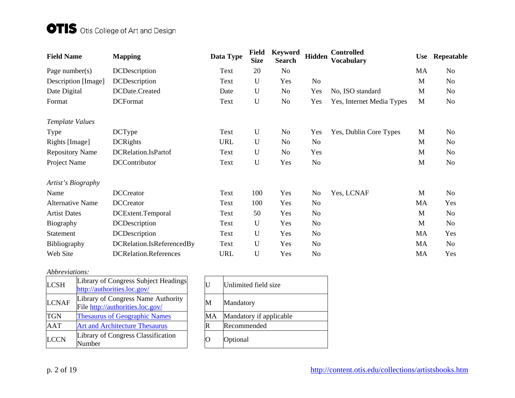# OTIS Otis College of Art and Design

| <b>Field Name</b>       | <b>Mapping</b>               | Data Type  | <b>Field</b><br><b>Size</b> | <b>Keyword</b><br><b>Search</b> | <b>Hidden</b>  | <b>Controlled</b><br><b>Vocabulary</b> | <b>Use</b> | Repeatable |
|-------------------------|------------------------------|------------|-----------------------------|---------------------------------|----------------|----------------------------------------|------------|------------|
| Page number( $s$ )      | <b>DCDescription</b>         | Text       | 20                          | No                              |                |                                        | MA         | No         |
| Description [Image]     | DCDescription                | Text       | U                           | Yes                             | No             |                                        | M          | No         |
| Date Digital            | DCDate.Created               | Date       | U                           | No                              | Yes            | No, ISO standard                       | M          | No         |
| Format                  | <b>DCFormat</b>              | Text       | $\mathbf U$                 | No                              | Yes            | Yes, Internet Media Types              | M          | No         |
| Template Values         |                              |            |                             |                                 |                |                                        |            |            |
| Type                    | <b>DCType</b>                | Text       | U                           | No                              | Yes            | Yes, Dublin Core Types                 | M          | No         |
| Rights [Image]          | <b>DCRights</b>              | <b>URL</b> | $\mathbf U$                 | No                              | N <sub>0</sub> |                                        | M          | No         |
| <b>Repository Name</b>  | DCRelation.IsPartof          | Text       | U                           | No                              | Yes            |                                        | M          | No         |
| Project Name            | DCContributor                | Text       | U                           | Yes                             | N <sub>o</sub> |                                        | M          | No         |
| Artist's Biography      |                              |            |                             |                                 |                |                                        |            |            |
| Name                    | <b>DCCreator</b>             | Text       | 100                         | Yes                             | No             | Yes, LCNAF                             | M          | No         |
| <b>Alternative Name</b> | <b>DCCreator</b>             | Text       | 100                         | Yes                             | No             |                                        | MA         | Yes        |
| <b>Artist Dates</b>     | DCExtent.Temporal            | Text       | 50                          | Yes                             | N <sub>0</sub> |                                        | M          | No         |
| Biography               | DCDescription                | Text       | U                           | Yes                             | N <sub>0</sub> |                                        | M          | No         |
| Statement               | <b>DCDescription</b>         | Text       | U                           | Yes                             | N <sub>0</sub> |                                        | MA         | Yes        |
| Bibliography            | DCRelation.IsReferencedBy    | Text       | U                           | Yes                             | N <sub>0</sub> |                                        | MA         | No         |
| Web Site                | <b>DCRelation.References</b> | <b>URL</b> | U                           | Yes                             | No             |                                        | MA         | Yes        |

#### *Abbreviations:*

| <b>LCSH</b>  | Library of Congress Subject Headings<br>http://authorities.loc.gov/    |    | Unlimited field size    |
|--------------|------------------------------------------------------------------------|----|-------------------------|
| <b>LCNAF</b> | Library of Congress Name Authority<br>File http://authorities.loc.gov/ | M  | Mandatory               |
| <b>TGN</b>   | <b>Thesaurus of Geographic Names</b>                                   | МA | Mandatory if applicable |
| <b>AAT</b>   | <b>Art and Architecture Thesaurus</b>                                  | R  | Recommended             |
| <b>LCCN</b>  | Library of Congress Classification<br>Number                           |    | Optional                |

| eadings      | U  | Unlimited field size    |
|--------------|----|-------------------------|
| thority      | M  | Mandatory               |
| <u>es</u>    | MA | Mandatory if applicable |
| $\mathbf{s}$ | R  | Recommended             |
| tion         | 0  | Optional                |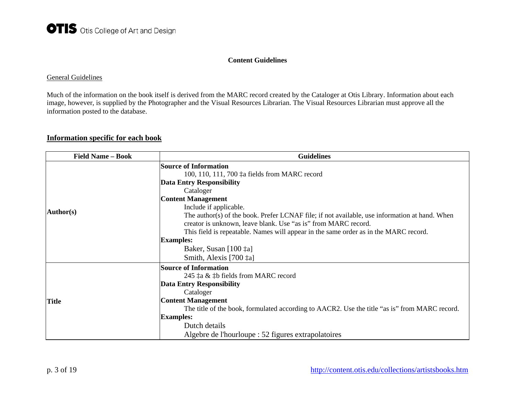#### **Content Guidelines**

#### General Guidelines

Much of the information on the book itself is derived from the MARC record created by the Cataloger at Otis Library. Information about each image, however, is supplied by the Photographer and the Visual Resources Librarian. The Visual Resources Librarian must approve all the information posted to the database.

### **Information specific for each book**

| <b>Field Name – Book</b> | <b>Guidelines</b>                                                                             |
|--------------------------|-----------------------------------------------------------------------------------------------|
|                          | <b>Source of Information</b>                                                                  |
|                          | 100, 110, 111, 700 ‡a fields from MARC record                                                 |
|                          | <b>Data Entry Responsibility</b>                                                              |
|                          | Cataloger                                                                                     |
|                          | <b>Content Management</b>                                                                     |
|                          | Include if applicable.                                                                        |
| Author(s)                | The author(s) of the book. Prefer LCNAF file; if not available, use information at hand. When |
|                          | creator is unknown, leave blank. Use "as is" from MARC record.                                |
|                          | This field is repeatable. Names will appear in the same order as in the MARC record.          |
|                          | <b>Examples:</b>                                                                              |
|                          | Baker, Susan [100 ‡a]                                                                         |
|                          | Smith, Alexis [700 ta]                                                                        |
|                          | <b>Source of Information</b>                                                                  |
|                          | 245 ‡a & ‡b fields from MARC record                                                           |
|                          | <b>Data Entry Responsibility</b>                                                              |
|                          | Cataloger                                                                                     |
| <b>Title</b>             | <b>Content Management</b>                                                                     |
|                          | The title of the book, formulated according to AACR2. Use the title "as is" from MARC record. |
|                          | <b>Examples:</b>                                                                              |
|                          | Dutch details                                                                                 |
|                          | Algebre de l'hourloupe : 52 figures extrapolatoires                                           |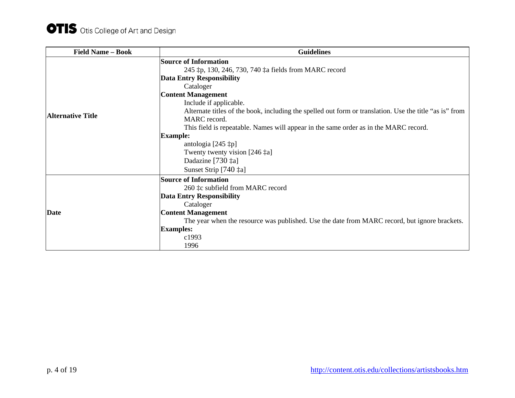| <b>Field Name - Book</b> | <b>Guidelines</b>                                                                                       |
|--------------------------|---------------------------------------------------------------------------------------------------------|
|                          | <b>Source of Information</b>                                                                            |
|                          | 245 ‡p, 130, 246, 730, 740 ‡a fields from MARC record                                                   |
|                          | <b>Data Entry Responsibility</b>                                                                        |
|                          | Cataloger                                                                                               |
|                          | <b>Content Management</b>                                                                               |
|                          | Include if applicable.                                                                                  |
|                          | Alternate titles of the book, including the spelled out form or translation. Use the title "as is" from |
| <b>Alternative Title</b> | MARC record.                                                                                            |
|                          | This field is repeatable. Names will appear in the same order as in the MARC record.                    |
|                          | <b>Example:</b>                                                                                         |
|                          | antologia $[245 \; \text{\texttt{\ddagger}}\text{p}]$                                                   |
|                          | Twenty twenty vision $[246 \ \text{‡a}]$                                                                |
|                          | Dadazine [730 ‡a]                                                                                       |
|                          | Sunset Strip [740 ‡a]                                                                                   |
|                          | <b>Source of Information</b>                                                                            |
|                          | 260 ‡c subfield from MARC record                                                                        |
|                          | <b>Data Entry Responsibility</b>                                                                        |
|                          | Cataloger                                                                                               |
| <b>Date</b>              | <b>Content Management</b>                                                                               |
|                          | The year when the resource was published. Use the date from MARC record, but ignore brackets.           |
|                          | <b>Examples:</b>                                                                                        |
|                          | c1993                                                                                                   |
|                          | 1996                                                                                                    |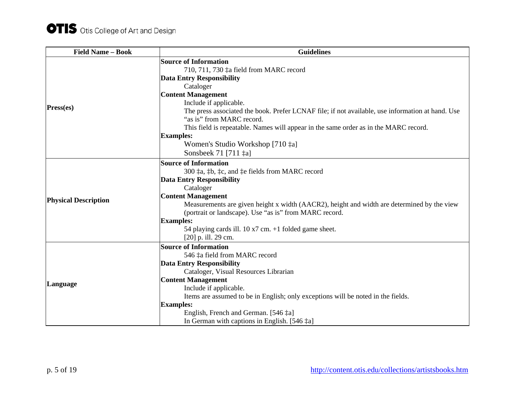| <b>Field Name - Book</b>    | <b>Guidelines</b>                                                                                |
|-----------------------------|--------------------------------------------------------------------------------------------------|
|                             | <b>Source of Information</b>                                                                     |
|                             | 710, 711, 730 ‡a field from MARC record                                                          |
|                             | <b>Data Entry Responsibility</b>                                                                 |
|                             | Cataloger                                                                                        |
|                             | <b>Content Management</b>                                                                        |
|                             | Include if applicable.                                                                           |
| Press(es)                   | The press associated the book. Prefer LCNAF file; if not available, use information at hand. Use |
|                             | "as is" from MARC record.                                                                        |
|                             | This field is repeatable. Names will appear in the same order as in the MARC record.             |
|                             | <b>Examples:</b>                                                                                 |
|                             | Women's Studio Workshop [710 ‡a]                                                                 |
|                             | Sonsbeek 71 [711 $\ddagger$ a]                                                                   |
|                             | <b>Source of Information</b>                                                                     |
|                             | 300 ‡a, ‡b, ‡c, and ‡e fields from MARC record                                                   |
|                             | <b>Data Entry Responsibility</b>                                                                 |
|                             | Cataloger                                                                                        |
| <b>Physical Description</b> | <b>Content Management</b>                                                                        |
|                             | Measurements are given height x width (AACR2), height and width are determined by the view       |
|                             | (portrait or landscape). Use "as is" from MARC record.                                           |
|                             | <b>Examples:</b>                                                                                 |
|                             | 54 playing cards ill. $10 \times 7$ cm. $+1$ folded game sheet.                                  |
|                             | [20] p. ill. 29 cm.                                                                              |
|                             | <b>Source of Information</b>                                                                     |
|                             | 546 ‡a field from MARC record                                                                    |
|                             | <b>Data Entry Responsibility</b>                                                                 |
|                             | Cataloger, Visual Resources Librarian                                                            |
| Language                    | <b>Content Management</b>                                                                        |
|                             | Include if applicable.                                                                           |
|                             | Items are assumed to be in English; only exceptions will be noted in the fields.                 |
|                             | <b>Examples:</b>                                                                                 |
|                             | English, French and German. [546 ‡a]                                                             |
|                             | In German with captions in English. [546 ‡a]                                                     |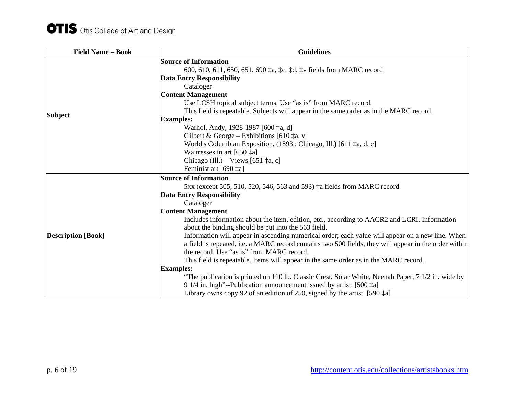| <b>Field Name - Book</b>  | <b>Guidelines</b>                                                                                                                                                                                         |
|---------------------------|-----------------------------------------------------------------------------------------------------------------------------------------------------------------------------------------------------------|
|                           | <b>Source of Information</b>                                                                                                                                                                              |
|                           | 600, 610, 611, 650, 651, 690 ‡a, ‡c, ‡d, ‡v fields from MARC record                                                                                                                                       |
|                           | <b>Data Entry Responsibility</b>                                                                                                                                                                          |
|                           | Cataloger                                                                                                                                                                                                 |
|                           | <b>Content Management</b>                                                                                                                                                                                 |
|                           | Use LCSH topical subject terms. Use "as is" from MARC record.                                                                                                                                             |
| <b>Subject</b>            | This field is repeatable. Subjects will appear in the same order as in the MARC record.                                                                                                                   |
|                           | <b>Examples:</b>                                                                                                                                                                                          |
|                           | Warhol, Andy, 1928-1987 [600 ‡a, d]                                                                                                                                                                       |
|                           | Gilbert & George – Exhibitions [610 $\ddagger$ a, v]                                                                                                                                                      |
|                           | World's Columbian Exposition, (1893 : Chicago, Ill.) [611 ‡a, d, c]                                                                                                                                       |
|                           | Waitresses in art $[650 \text{ }\, \ddagger \text{a}]$                                                                                                                                                    |
|                           | Chicago (Ill.) – Views [651 $\ddagger$ a, c]                                                                                                                                                              |
|                           | Feminist art [690 ‡a]                                                                                                                                                                                     |
|                           | <b>Source of Information</b>                                                                                                                                                                              |
|                           | 5xx (except 505, 510, 520, 546, 563 and 593) ‡a fields from MARC record                                                                                                                                   |
|                           | <b>Data Entry Responsibility</b>                                                                                                                                                                          |
|                           | Cataloger                                                                                                                                                                                                 |
|                           | <b>Content Management</b>                                                                                                                                                                                 |
|                           | Includes information about the item, edition, etc., according to AACR2 and LCRI. Information<br>about the binding should be put into the 563 field.                                                       |
| <b>Description</b> [Book] | Information will appear in ascending numerical order; each value will appear on a new line. When<br>a field is repeated, i.e. a MARC record contains two 500 fields, they will appear in the order within |
|                           | the record. Use "as is" from MARC record.                                                                                                                                                                 |
|                           | This field is repeatable. Items will appear in the same order as in the MARC record.                                                                                                                      |
|                           | <b>Examples:</b>                                                                                                                                                                                          |
|                           | "The publication is printed on 110 lb. Classic Crest, Solar White, Neenah Paper, 7 1/2 in. wide by                                                                                                        |
|                           | 9 1/4 in. high"--Publication announcement issued by artist. [500 $\ddagger$ a]                                                                                                                            |
|                           | Library owns copy 92 of an edition of 250, signed by the artist. [590 $\ddagger$ a]                                                                                                                       |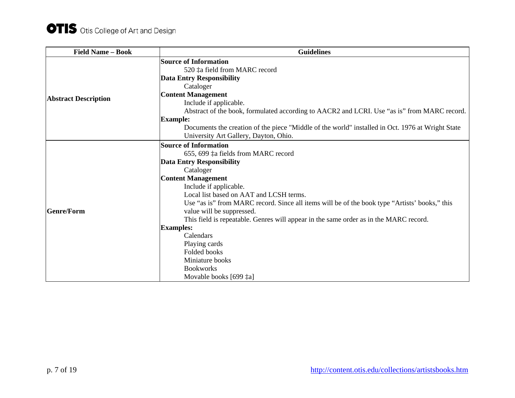| <b>Field Name - Book</b>    | <b>Guidelines</b>                                                                                |
|-----------------------------|--------------------------------------------------------------------------------------------------|
|                             | <b>Source of Information</b>                                                                     |
|                             | 520 ‡a field from MARC record                                                                    |
|                             | <b>Data Entry Responsibility</b>                                                                 |
|                             | Cataloger                                                                                        |
|                             | <b>Content Management</b>                                                                        |
| <b>Abstract Description</b> | Include if applicable.                                                                           |
|                             | Abstract of the book, formulated according to AACR2 and LCRI. Use "as is" from MARC record.      |
|                             | <b>Example:</b>                                                                                  |
|                             | Documents the creation of the piece "Middle of the world" installed in Oct. 1976 at Wright State |
|                             | University Art Gallery, Dayton, Ohio.                                                            |
|                             | <b>Source of Information</b>                                                                     |
|                             | 655, 699 ‡a fields from MARC record                                                              |
|                             | <b>Data Entry Responsibility</b>                                                                 |
|                             | Cataloger                                                                                        |
|                             | <b>Content Management</b>                                                                        |
|                             | Include if applicable.                                                                           |
|                             | Local list based on AAT and LCSH terms.                                                          |
|                             | Use "as is" from MARC record. Since all items will be of the book type "Artists" books," this    |
| <b>Genre/Form</b>           | value will be suppressed.                                                                        |
|                             | This field is repeatable. Genres will appear in the same order as in the MARC record.            |
|                             | <b>Examples:</b>                                                                                 |
|                             | Calendars                                                                                        |
|                             | Playing cards                                                                                    |
|                             | Folded books                                                                                     |
|                             | Miniature books                                                                                  |
|                             | <b>Bookworks</b>                                                                                 |
|                             | Movable books [699 ‡a]                                                                           |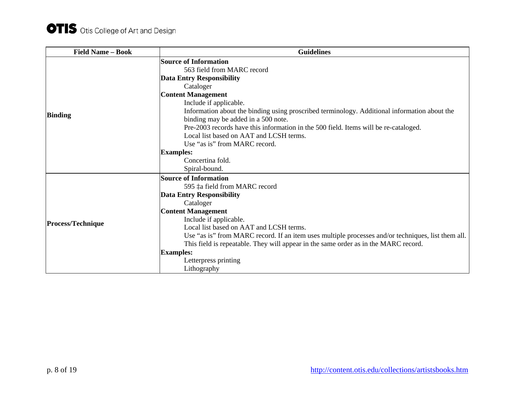| <b>Field Name - Book</b> | <b>Guidelines</b>                                                                                  |
|--------------------------|----------------------------------------------------------------------------------------------------|
|                          | <b>Source of Information</b>                                                                       |
|                          | 563 field from MARC record                                                                         |
|                          | <b>Data Entry Responsibility</b>                                                                   |
|                          | Cataloger                                                                                          |
|                          | <b>Content Management</b>                                                                          |
|                          | Include if applicable.                                                                             |
| <b>Binding</b>           | Information about the binding using proscribed terminology. Additional information about the       |
|                          | binding may be added in a 500 note.                                                                |
|                          | Pre-2003 records have this information in the 500 field. Items will be re-cataloged.               |
|                          | Local list based on AAT and LCSH terms.                                                            |
|                          | Use "as is" from MARC record.                                                                      |
|                          | <b>Examples:</b>                                                                                   |
|                          | Concertina fold.                                                                                   |
|                          | Spiral-bound.                                                                                      |
|                          | <b>Source of Information</b>                                                                       |
|                          | 595 ‡a field from MARC record                                                                      |
|                          | <b>Data Entry Responsibility</b>                                                                   |
|                          | Cataloger                                                                                          |
|                          | <b>Content Management</b>                                                                          |
| <b>Process/Technique</b> | Include if applicable.                                                                             |
|                          | Local list based on AAT and LCSH terms.                                                            |
|                          | Use "as is" from MARC record. If an item uses multiple processes and/or techniques, list them all. |
|                          | This field is repeatable. They will appear in the same order as in the MARC record.                |
|                          | <b>Examples:</b>                                                                                   |
|                          | Letterpress printing                                                                               |
|                          | Lithography                                                                                        |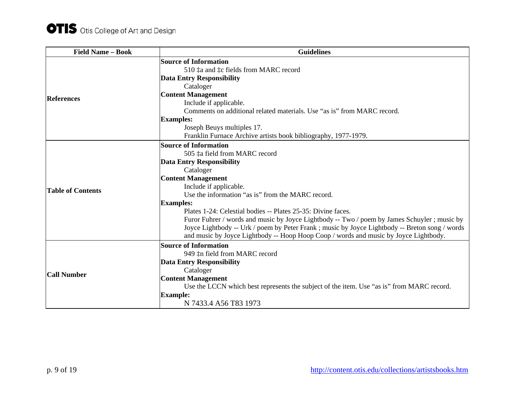| <b>Field Name - Book</b> | <b>Guidelines</b>                                                                              |
|--------------------------|------------------------------------------------------------------------------------------------|
|                          | <b>Source of Information</b>                                                                   |
|                          | 510 ‡a and ‡c fields from MARC record                                                          |
|                          | <b>Data Entry Responsibility</b>                                                               |
|                          | Cataloger                                                                                      |
| <b>References</b>        | <b>Content Management</b>                                                                      |
|                          | Include if applicable.                                                                         |
|                          | Comments on additional related materials. Use "as is" from MARC record.                        |
|                          | <b>Examples:</b>                                                                               |
|                          | Joseph Beuys multiples 17.                                                                     |
|                          | Franklin Furnace Archive artists book bibliography, 1977-1979.                                 |
|                          | <b>Source of Information</b>                                                                   |
|                          | 505 ‡a field from MARC record                                                                  |
|                          | <b>Data Entry Responsibility</b>                                                               |
|                          | Cataloger                                                                                      |
|                          | <b>Content Management</b>                                                                      |
| <b>Table of Contents</b> | Include if applicable.                                                                         |
|                          | Use the information "as is" from the MARC record.                                              |
|                          | <b>Examples:</b>                                                                               |
|                          | Plates 1-24: Celestial bodies -- Plates 25-35: Divine faces.                                   |
|                          | Furor Fuhrer / words and music by Joyce Lightbody -- Two / poem by James Schuyler; music by    |
|                          | Joyce Lightbody -- Urk / poem by Peter Frank ; music by Joyce Lightbody -- Breton song / words |
|                          | and music by Joyce Lightbody -- Hoop Hoop Coop / words and music by Joyce Lightbody.           |
|                          | <b>Source of Information</b>                                                                   |
|                          | 949 ‡n field from MARC record                                                                  |
|                          | <b>Data Entry Responsibility</b>                                                               |
| <b>Call Number</b>       | Cataloger                                                                                      |
|                          | <b>Content Management</b>                                                                      |
|                          | Use the LCCN which best represents the subject of the item. Use "as is" from MARC record.      |
|                          | <b>Example:</b>                                                                                |
|                          | N 7433.4 A56 T83 1973                                                                          |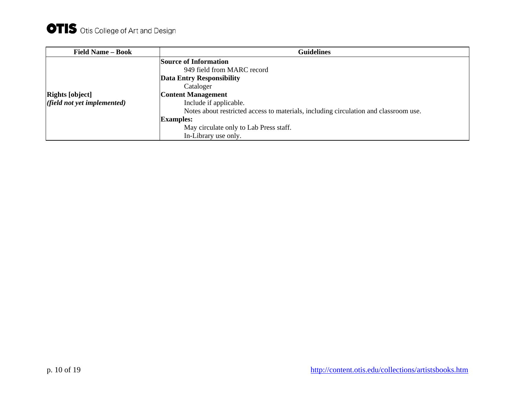| <b>Field Name - Book</b>    | <b>Guidelines</b>                                                                    |
|-----------------------------|--------------------------------------------------------------------------------------|
|                             | <b>Source of Information</b>                                                         |
|                             | 949 field from MARC record                                                           |
|                             | <b>Data Entry Responsibility</b>                                                     |
|                             | Cataloger                                                                            |
| <b>Rights</b> [object]      | <b>Content Management</b>                                                            |
| (field not yet implemented) | Include if applicable.                                                               |
|                             | Notes about restricted access to materials, including circulation and classroom use. |
|                             | <b>Examples:</b>                                                                     |
|                             | May circulate only to Lab Press staff.                                               |
|                             | In-Library use only.                                                                 |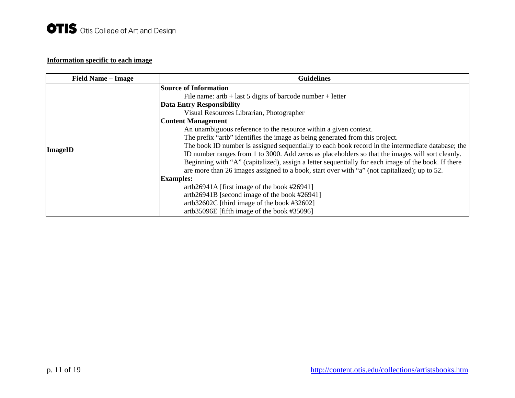# **Information specific to each image**

| <b>Field Name – Image</b> | <b>Guidelines</b>                                                                                   |
|---------------------------|-----------------------------------------------------------------------------------------------------|
|                           | <b>Source of Information</b>                                                                        |
|                           | File name: $artb + last 5$ digits of barcode number + letter                                        |
|                           | <b>Data Entry Responsibility</b>                                                                    |
|                           | Visual Resources Librarian, Photographer                                                            |
|                           | <b>Content Management</b>                                                                           |
|                           | An unambiguous reference to the resource within a given context.                                    |
|                           | The prefix "artb" identifies the image as being generated from this project.                        |
| <b>ImageID</b>            | The book ID number is assigned sequentially to each book record in the intermediate database; the   |
|                           | ID number ranges from 1 to 3000. Add zeros as placeholders so that the images will sort cleanly.    |
|                           | Beginning with "A" (capitalized), assign a letter sequentially for each image of the book. If there |
|                           | are more than 26 images assigned to a book, start over with "a" (not capitalized); up to 52.        |
|                           | <b>Examples:</b>                                                                                    |
|                           | artb26941A [first image of the book $\#26941$ ]                                                     |
|                           | artb26941B [second image of the book #26941]                                                        |
|                           | artb32602C [third image of the book #32602]                                                         |
|                           | artb35096E [fifth image of the book #35096]                                                         |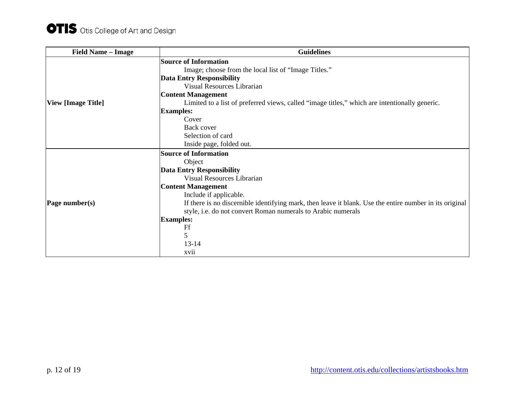| <b>Field Name - Image</b> | <b>Guidelines</b>                                                                                       |
|---------------------------|---------------------------------------------------------------------------------------------------------|
|                           | <b>Source of Information</b>                                                                            |
|                           | Image; choose from the local list of "Image Titles."                                                    |
|                           | <b>Data Entry Responsibility</b>                                                                        |
|                           | Visual Resources Librarian                                                                              |
|                           | <b>Content Management</b>                                                                               |
| <b>View [Image Title]</b> | Limited to a list of preferred views, called "image titles," which are intentionally generic.           |
|                           | <b>Examples:</b>                                                                                        |
|                           | Cover                                                                                                   |
|                           | Back cover                                                                                              |
|                           | Selection of card                                                                                       |
|                           | Inside page, folded out.                                                                                |
|                           | <b>Source of Information</b>                                                                            |
|                           | Object                                                                                                  |
|                           | <b>Data Entry Responsibility</b>                                                                        |
|                           | Visual Resources Librarian                                                                              |
|                           | <b>Content Management</b>                                                                               |
|                           | Include if applicable.                                                                                  |
| Page number(s)            | If there is no discernible identifying mark, then leave it blank. Use the entire number in its original |
|                           | style, i.e. do not convert Roman numerals to Arabic numerals                                            |
|                           | <b>Examples:</b>                                                                                        |
|                           | Ff                                                                                                      |
|                           | 5                                                                                                       |
|                           | $13 - 14$                                                                                               |
|                           | xvii                                                                                                    |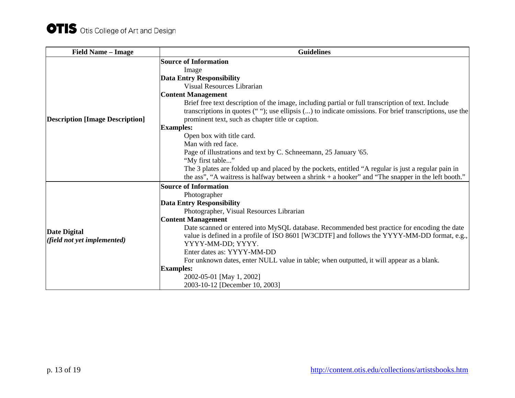| <b>Field Name - Image</b>              | <b>Guidelines</b>                                                                                                                                                                                                                                                        |
|----------------------------------------|--------------------------------------------------------------------------------------------------------------------------------------------------------------------------------------------------------------------------------------------------------------------------|
|                                        | <b>Source of Information</b>                                                                                                                                                                                                                                             |
|                                        | Image                                                                                                                                                                                                                                                                    |
|                                        | <b>Data Entry Responsibility</b>                                                                                                                                                                                                                                         |
|                                        | Visual Resources Librarian                                                                                                                                                                                                                                               |
|                                        | <b>Content Management</b>                                                                                                                                                                                                                                                |
| <b>Description [Image Description]</b> | Brief free text description of the image, including partial or full transcription of text. Include<br>transcriptions in quotes $($ ""); use ellipsis $($ ) to indicate omissions. For brief transcriptions, use the<br>prominent text, such as chapter title or caption. |
|                                        | <b>Examples:</b>                                                                                                                                                                                                                                                         |
|                                        | Open box with title card.                                                                                                                                                                                                                                                |
|                                        | Man with red face.                                                                                                                                                                                                                                                       |
|                                        | Page of illustrations and text by C. Schneemann, 25 January '65.                                                                                                                                                                                                         |
|                                        | "My first table"                                                                                                                                                                                                                                                         |
|                                        | The 3 plates are folded up and placed by the pockets, entitled "A regular is just a regular pain in                                                                                                                                                                      |
|                                        | the ass", "A waitress is halfway between a shrink $+$ a hooker" and "The snapper in the left booth."                                                                                                                                                                     |
|                                        | <b>Source of Information</b>                                                                                                                                                                                                                                             |
|                                        | Photographer                                                                                                                                                                                                                                                             |
|                                        | <b>Data Entry Responsibility</b>                                                                                                                                                                                                                                         |
|                                        | Photographer, Visual Resources Librarian                                                                                                                                                                                                                                 |
|                                        | <b>Content Management</b>                                                                                                                                                                                                                                                |
| <b>Date Digital</b>                    | Date scanned or entered into MySQL database. Recommended best practice for encoding the date                                                                                                                                                                             |
| (field not yet implemented)            | value is defined in a profile of ISO 8601 [W3CDTF] and follows the YYYY-MM-DD format, e.g.,                                                                                                                                                                              |
|                                        | YYYY-MM-DD; YYYY.                                                                                                                                                                                                                                                        |
|                                        | Enter dates as: YYYY-MM-DD                                                                                                                                                                                                                                               |
|                                        | For unknown dates, enter NULL value in table; when outputted, it will appear as a blank.                                                                                                                                                                                 |
|                                        | <b>Examples:</b>                                                                                                                                                                                                                                                         |
|                                        | 2002-05-01 [May 1, 2002]                                                                                                                                                                                                                                                 |
|                                        | 2003-10-12 [December 10, 2003]                                                                                                                                                                                                                                           |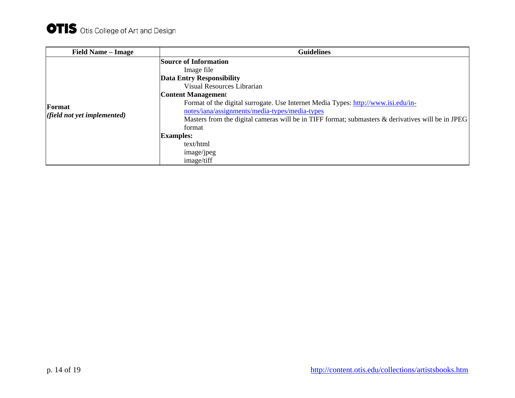| <b>Field Name – Image</b>             | <b>Guidelines</b>                                                                                                                                                                                                                                                                                                                                                                                                                                            |
|---------------------------------------|--------------------------------------------------------------------------------------------------------------------------------------------------------------------------------------------------------------------------------------------------------------------------------------------------------------------------------------------------------------------------------------------------------------------------------------------------------------|
| Format<br>(field not yet implemented) | <b>Source of Information</b><br>Image file<br><b>Data Entry Responsibility</b><br>Visual Resources Librarian<br><b>Content Management</b><br>Format of the digital surrogate. Use Internet Media Types: http://www.isi.edu/in-<br>notes/iana/assignments/media-types/media-types<br>Masters from the digital cameras will be in TIFF format; submasters & derivatives will be in JPEG<br>format<br><b>Examples:</b><br>text/html<br>image/jpeg<br>image/tiff |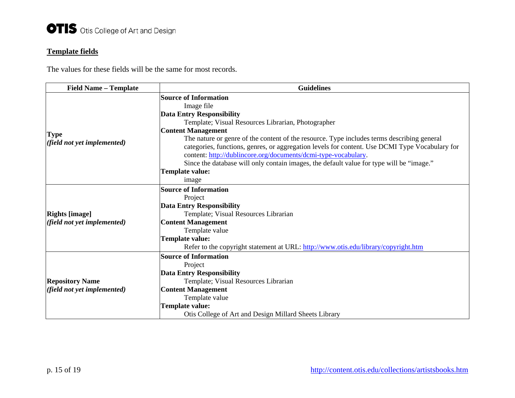## **Template fields**

The values for these fields will be the same for most records.

| <b>Field Name - Template</b>                         | <b>Guidelines</b>                                                                              |
|------------------------------------------------------|------------------------------------------------------------------------------------------------|
|                                                      | <b>Source of Information</b>                                                                   |
|                                                      | Image file                                                                                     |
|                                                      | <b>Data Entry Responsibility</b>                                                               |
|                                                      | Template; Visual Resources Librarian, Photographer                                             |
|                                                      | <b>Content Management</b>                                                                      |
| <b>Type</b>                                          | The nature or genre of the content of the resource. Type includes terms describing general     |
| (field not yet implemented)                          | categories, functions, genres, or aggregation levels for content. Use DCMI Type Vocabulary for |
|                                                      | content: http://dublincore.org/documents/dcmi-type-vocabulary.                                 |
|                                                      | Since the database will only contain images, the default value for type will be "image."       |
|                                                      | <b>Template value:</b>                                                                         |
|                                                      | image                                                                                          |
|                                                      | <b>Source of Information</b>                                                                   |
|                                                      | Project                                                                                        |
|                                                      | <b>Data Entry Responsibility</b>                                                               |
| <b>Rights [image]</b><br>(field not yet implemented) | Template; Visual Resources Librarian                                                           |
|                                                      | <b>Content Management</b>                                                                      |
|                                                      | Template value                                                                                 |
|                                                      | <b>Template value:</b>                                                                         |
|                                                      | Refer to the copyright statement at URL: http://www.otis.edu/library/copyright.htm             |
|                                                      | <b>Source of Information</b>                                                                   |
|                                                      | Project                                                                                        |
|                                                      | <b>Data Entry Responsibility</b>                                                               |
| <b>Repository Name</b>                               | Template; Visual Resources Librarian                                                           |
| (field not yet implemented)                          | <b>Content Management</b>                                                                      |
|                                                      | Template value                                                                                 |
|                                                      | <b>Template value:</b>                                                                         |
|                                                      | Otis College of Art and Design Millard Sheets Library                                          |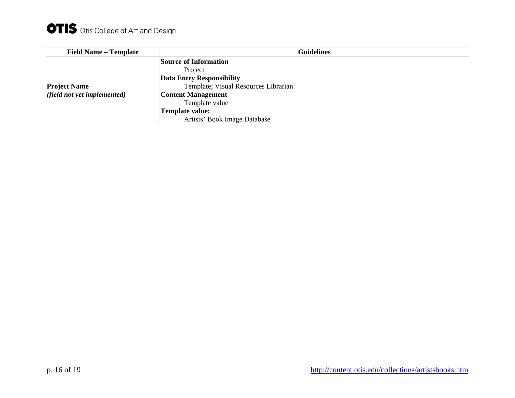| <b>Field Name – Template</b> | <b>Guidelines</b>                    |
|------------------------------|--------------------------------------|
|                              | <b>Source of Information</b>         |
|                              | Project                              |
|                              | <b>Data Entry Responsibility</b>     |
| <b>Project Name</b>          | Template; Visual Resources Librarian |
| (field not yet implemented)  | <b>Content Management</b>            |
|                              | Template value                       |
|                              | Template value:                      |
|                              | Artists' Book Image Database         |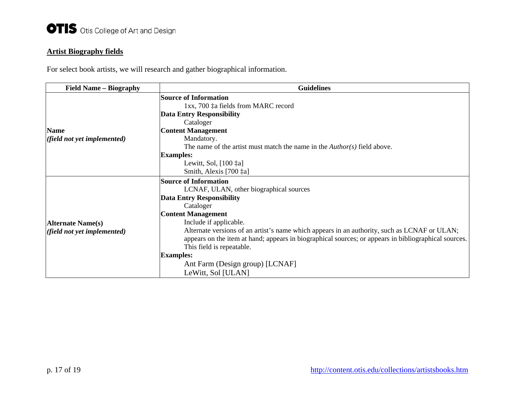# **Artist Biography fields**

For select book artists, we will research and gather biographical information.

| <b>Field Name - Biography</b> | <b>Guidelines</b>                                                                                    |
|-------------------------------|------------------------------------------------------------------------------------------------------|
|                               | <b>Source of Information</b>                                                                         |
|                               | 1xx, 700 ‡a fields from MARC record                                                                  |
|                               | <b>Data Entry Responsibility</b>                                                                     |
|                               | Cataloger                                                                                            |
| <b>Name</b>                   | <b>Content Management</b>                                                                            |
| (field not yet implemented)   | Mandatory.                                                                                           |
|                               | The name of the artist must match the name in the $Author(s)$ field above.                           |
|                               | <b>Examples:</b>                                                                                     |
|                               | Lewitt, Sol, [100 ‡a]                                                                                |
|                               | Smith, Alexis [700 ‡a]                                                                               |
|                               | <b>Source of Information</b>                                                                         |
|                               | LCNAF, ULAN, other biographical sources                                                              |
|                               | <b>Data Entry Responsibility</b>                                                                     |
|                               | Cataloger                                                                                            |
|                               | <b>Content Management</b>                                                                            |
| <b>Alternate Name(s)</b>      | Include if applicable.                                                                               |
| (field not yet implemented)   | Alternate versions of an artist's name which appears in an authority, such as LCNAF or ULAN;         |
|                               | appears on the item at hand; appears in biographical sources; or appears in bibliographical sources. |
|                               | This field is repeatable.                                                                            |
|                               | <b>Examples:</b>                                                                                     |
|                               | Ant Farm (Design group) [LCNAF]                                                                      |
|                               | LeWitt, Sol [ULAN]                                                                                   |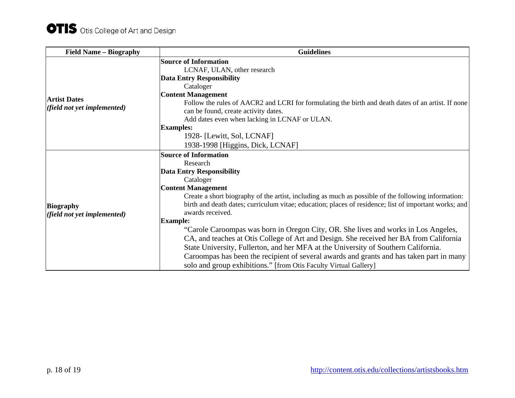| <b>Field Name – Biography</b>                      | <b>Guidelines</b>                                                                                                                                                                                                                                                                                                                                                                                                                                                                                                                                                                                                                                                                                                                                                                                                   |
|----------------------------------------------------|---------------------------------------------------------------------------------------------------------------------------------------------------------------------------------------------------------------------------------------------------------------------------------------------------------------------------------------------------------------------------------------------------------------------------------------------------------------------------------------------------------------------------------------------------------------------------------------------------------------------------------------------------------------------------------------------------------------------------------------------------------------------------------------------------------------------|
| <b>Artist Dates</b><br>(field not yet implemented) | <b>Source of Information</b><br>LCNAF, ULAN, other research<br><b>Data Entry Responsibility</b><br>Cataloger<br><b>Content Management</b>                                                                                                                                                                                                                                                                                                                                                                                                                                                                                                                                                                                                                                                                           |
|                                                    | Follow the rules of AACR2 and LCRI for formulating the birth and death dates of an artist. If none<br>can be found, create activity dates.<br>Add dates even when lacking in LCNAF or ULAN.                                                                                                                                                                                                                                                                                                                                                                                                                                                                                                                                                                                                                         |
|                                                    | <b>Examples:</b><br>1928- [Lewitt, Sol, LCNAF]<br>1938-1998 [Higgins, Dick, LCNAF]                                                                                                                                                                                                                                                                                                                                                                                                                                                                                                                                                                                                                                                                                                                                  |
| <b>Biography</b><br>(field not yet implemented)    | <b>Source of Information</b><br>Research<br><b>Data Entry Responsibility</b><br>Cataloger<br><b>Content Management</b><br>Create a short biography of the artist, including as much as possible of the following information:<br>birth and death dates; curriculum vitae; education; places of residence; list of important works; and<br>awards received.<br><b>Example:</b><br>"Carole Caroompas was born in Oregon City, OR. She lives and works in Los Angeles,<br>CA, and teaches at Otis College of Art and Design. She received her BA from California<br>State University, Fullerton, and her MFA at the University of Southern California.<br>Caroompas has been the recipient of several awards and grants and has taken part in many<br>solo and group exhibitions." [from Otis Faculty Virtual Gallery] |